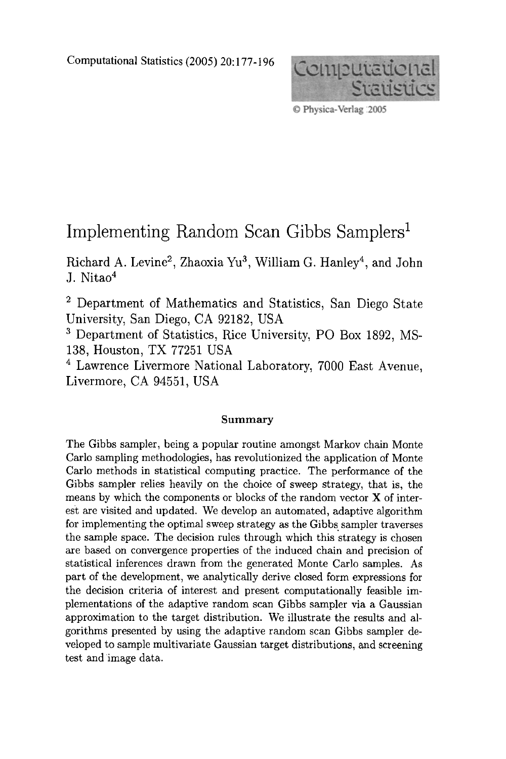Computational Statistics (2005) 20:177-196



© Physica-Verlag :2005

# Implementing Random Scan Gibbs Samplers<sup>1</sup>

Richard A. Levine<sup>2</sup>, Zhaoxia Yu<sup>3</sup>, William G. Hanley<sup>4</sup>, and John J. Nitao<sup>4</sup>

2 Department of Mathematics and Statistics, San Diego State University, San Diego, CA 92182, USA

3 Department of Statistics, Rice University, PO Box 1892, MS-138, Houston, TX 77251 USA

4 Lawrence Livermore National Laboratory, 7000 East Avenue, Livermore, CA 94551, USA

#### **Summary**

The Gibbs sampler, being a popular routine amongst Markov chain Monte Carlo sampling methodologies, has revolutionized the application of Monte Carlo methods in statistical computing practice. The performance of the Gibbs sampler relies heavily on the choice of sweep strategy, that is, the means by which the components or blocks of the random vector X of interest are visited and updated. We develop an automated, adaptive algorithm for implementing the optimal sweep strategy as the Gibbs. sampler traverses the sample space. The decision rules through which this strategy is chosen are based on convergence properties of the induced chain and precision of statistical inferences drawn from the generated Monte Carlo samples. As part of the development, we analytically derive closed form expressions for the decision criteria of interest and present computationally feasible implementations of the adaptive random scan Gibbs sampler via a Gaussian approximation to the target distribution. We illustrate the results and algorithms presented by using the adaptive random scan Gibbs sampler developed to sample multivariate Gaussian target distributions, and screening test and image data.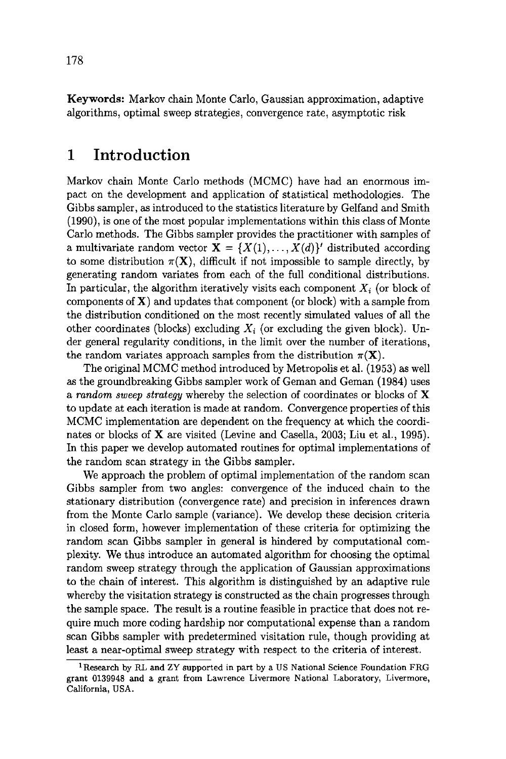Keywords: Markov chain Monte Carlo, Gaussian approximation, adaptive algorithms, optimal sweep strategies, convergence rate, asymptotic risk

## **1 Introduction**

Markov chain Monte Carlo methods (MCMC) have had an enormous impact on the development and application of statistical methodologies. The Gibbs sampler, as introduced to the statistics literature by Gelfand and Smith (1990), is one of the most popular implementations within this class of Monte Carlo methods. The Gibbs sampler provides the practitioner with samples of a multivariate random vector  $X = \{X(1),...,X(d)\}$ <sup>'</sup> distributed according to some distribution  $\pi(\mathbf{X})$ , difficult if not impossible to sample directly, by generating random variates from each of the full conditional distributions. In particular, the algorithm iteratively visits each component  $X_i$  (or block of components of  $X$ ) and updates that component (or block) with a sample from the distribution conditioned on the most recently simulated values of all the other coordinates (blocks) excluding  $X_i$  (or excluding the given block). Under general regularity conditions, in the limit over the number of iterations, the random variates approach samples from the distribution  $\pi(\mathbf{X})$ .

The original MCMC method introduced by Metropolis et al. (1953) as well as the groundbreaking Gibbs sampler work of Geman and Geman (1984) uses *a random sweep strategy* whereby the selection of coordinates or blocks of X to update at each iteration is made at random. Convergence properties of this MCMC implementation are dependent on the frequency at which the coordinates or blocks of X are visited (Levine and Casella, 2003; Liu et al., 1995). In this paper we develop automated routines for optimal implementations of the random scan strategy in the Gibbs sampler.

We approach the problem of optimal implementation of the random scan Gibbs sampler from two angles: convergence of the induced chain to the stationary distribution (convergence rate) and precision in inferences drawn from the Monte Carlo sample (variance). We develop these decision criteria in closed form, however implementation of these criteria for optimizing the random scan Gibbs sampler in general is hindered by computational complexity. We thus introduce an automated algorithm for choosing the optimal random sweep strategy through the application of Gaussian approximations to the chain of interest. This algorithm is distinguished by an adaptive rule whereby the visitation strategy is constructed as the chain progresses through the sample space. The result is a routine feasible in practice that does not require much more coding hardship nor computational expense than a random scan Gibbs sampler with predetermined visitation rule, though providing at least a near-optimal sweep strategy with respect to the criteria of interest.

<sup>&</sup>lt;sup>1</sup> Research by RL and ZY supported in part by a US National Science Foundation FRG grant 0139948 and a grant from Lawrence Livermore National Laboratory, Livermore, California, USA.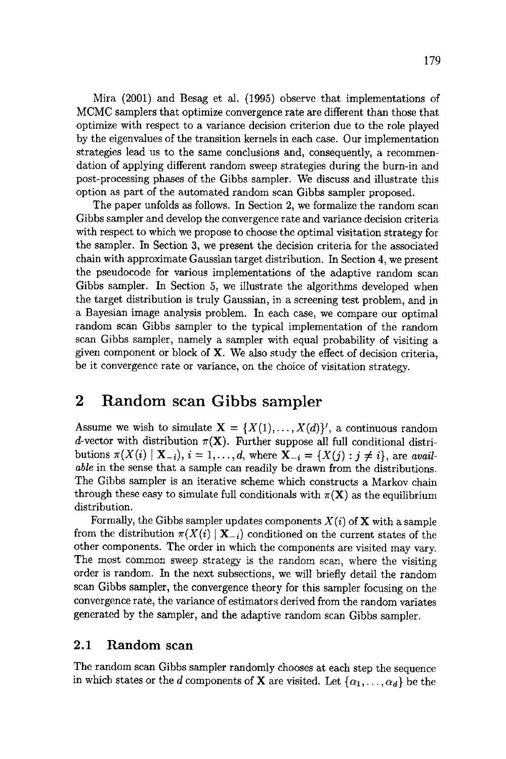Mira (2001) and Besag et al. (1995) observe that implementations of MCMC samplers that optimize convergence rate are different than those that optimize with respect to a variance decision criterion due to the role played by the eigenvalues of the transition kernels in each case. Our implementation strategies lead us to the same conclusions and, consequently, a recommendation of applying different random sweep strategies during the burn-in and post-processing phases of the Gibbs sampler. We discuss and illustrate this option as part of the automated random scan Gibbs sampler proposed.

The paper unfolds as follows. In Section 2, we formalize the random scan Gibbs sampler and develop the convergence rate and variance decision criteria with respect to which we propose to choose the optimal visitation strategy for the sampler. In Section 3, we present the decision criteria for the associated chain with approximate Gaussian target distribution. In Section 4, we present the pseudocode for various implementations of the adaptive random scan Gibbs sampler. In Section 5, we illustrate the algorithms developed when the target distribution is truly Gaussian, in a screening test problem, and in a Bayesian image analysis problem. In each case, we compare our optimal random scan Gibbs sampler to the typical implementation of the random scan Gibbs sampler, namely a sampler with equal probability of visiting a given component or block of X. We also study the effect of decision criteria, be it convergence rate or variance, on the choice of visitation strategy.

## **2 Random scan Gibbs sampler**

Assume we wish to simulate  $X = \{X(1),...,X(d)\}$ , a continuous random d-vector with distribution  $\pi(X)$ . Further suppose all full conditional distributions  $\pi(X(i) | \mathbf{X}_{-i}), i = 1, ..., d$ , where  $\mathbf{X}_{-i} = \{X(j) : j \neq i\}$ , are *available* in the sense that a sample can readily be drawn from the distributions. The Gibbs sampler is an iterative scheme which constructs a Markov chain through these easy to simulate full conditionals with  $\pi(X)$  as the equilibrium distribution.

Formally, the Gibbs sampler updates components  $X(i)$  of **X** with a sample from the distribution  $\pi(X(i) | X_{-i})$  conditioned on the current states of the other components. The order in which the components are visited may vary. The most common sweep strategy is the random scan, where the visiting order is random. In the next subsections, we will briefly detail the random scan Gibbs sampler, the convergence theory for this sampler focusing on the convergence rate, the variance of estimators derived from the random variates generated by the sampler, and the adaptive random scan Gibbs sampler.

## **2.1 Random scan**

The random scan Gibbs sampler randomly chooses at each step the sequence in which states or the d components of **X** are visited. Let  $\{\alpha_1, \ldots, \alpha_d\}$  be the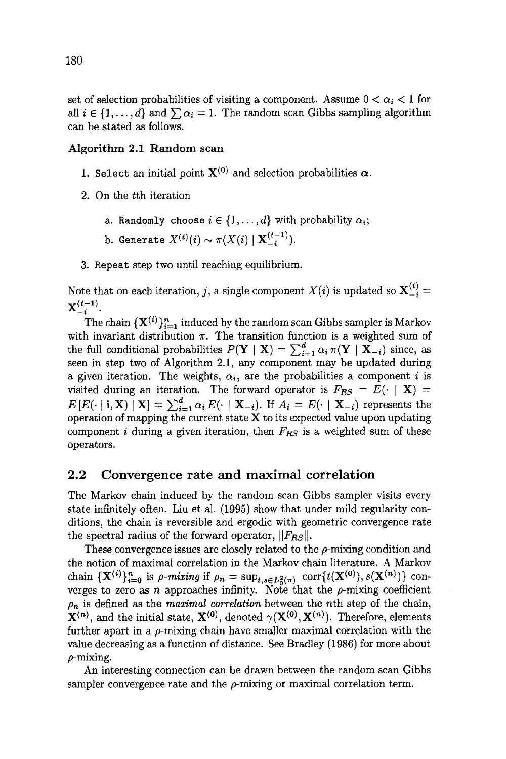set of selection probabilities of visiting a component. Assume  $0 < \alpha_i < 1$  for all  $i \in \{1, ..., d\}$  and  $\sum \alpha_i = 1$ . The random scan Gibbs sampling algorithm can be stated as follows.

#### Algorithm 2.1 Random scan

- 1. Select an initial point  $X^{(0)}$  and selection probabilities  $\alpha$ .
- 2. On the tth iteration
	- a. Randomly choose  $i \in \{1, ..., d\}$  with probability  $\alpha_i$ ;
	- b. Generate  $X^{(t)}(i) \sim \pi(X(i) | \mathbf{X}_{-i}^{(t-1)})$ .
- 3. Repeat step two until reaching equilibrium.

Note that on each iteration, j, a single component  $X(i)$  is updated so  $\mathbf{X}_{-i}^{(t)} =$  ${\bf X}_{-i}^{(t-1)}$ .

The chain  $\{X^{(i)}\}_{i=1}^n$  induced by the random scan Gibbs sampler is Markov with invariant distribution  $\pi$ . The transition function is a weighted sum of the full conditional probabilities  $P(Y | X) = \sum_{i=1}^{d} \alpha_i \pi(Y | X_i)$  since, as seen in step two of Algorithm 2.1, any component may be updated during a given iteration. The weights,  $\alpha_i$ , are the probabilities a component i is visited during an iteration. The forward operator is  $F_{RS} = E(\cdot | \mathbf{X}) =$  $E[E(\cdot | i, \mathbf{X}) | \mathbf{X}] = \sum_{i=1}^{a} \alpha_i E(\cdot | \mathbf{X}_{-i})$ . If  $A_i = E(\cdot | \mathbf{X}_{-i})$  represents the operation of mapping the current state  ${\bf X}$  to its expected value upon updating component i during a given iteration, then  $F_{RS}$  is a weighted sum of these operators.

#### 2.2 Convergence rate and maximal correlation

The Markov chain induced by the random scan Gibbs sampler visits every state infinitely often. Liu et al. (1995) show that under mild regularity conditions, the chain is reversible and ergodic with geometric convergence rate the spectral radius of the forward operator,  $||F_{RS}||$ .

These convergence issues are closely related to the  $\rho$ -mixing condition and the notion of maximal correlation in the Markov chain literature. A Markov chain  $\{X^{(i)}\}_{i=0}^n$  is  $\rho$ -mixing if  $\rho_n = \sup_{t,s \in L^2_n(\pi)} \text{corr}\{t(X^{(0)}), s(X^{(n)})\}$  converges to zero as n approaches infinity. Note that the  $\rho$ -mixing coefficient  $\rho_n$  is defined as the *maximal correlation* between the nth step of the chain,  ${\bf X}^{(n)}$ , and the initial state,  ${\bf X}^{(0)}$ , denoted  $\gamma({\bf X}^{(0)},{\bf X}^{(n)})$ . Therefore, elements further apart in a  $\rho$ -mixing chain have smaller maximal correlation with the value decreasing as a function of distance. See Bradley (1986) for more about  $\rho$ -mixing.

An interesting connection can be drawn between the random scan Gibbs sampler convergence rate and the  $\rho$ -mixing or maximal correlation term.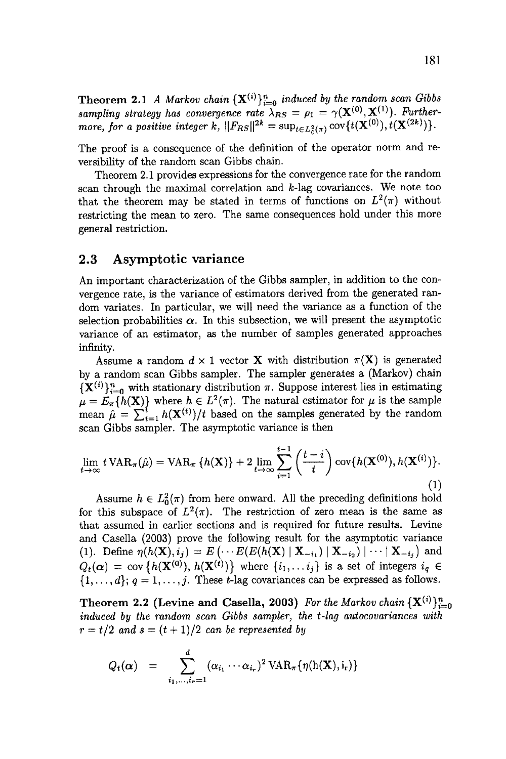**Theorem 2.1** *A Markov chain*  ${X^{(i)}}_{i=0}^n$  *induced by the random scan Gibbs* sampling strategy has convergence rate  $\lambda_{RS} = \rho_1 = \gamma(\mathbf{X}^{(0)}, \mathbf{X}^{(1)})$ . Further*more, for a positive integer k,*  $||F_{RS}||^{2\kappa} = \sup_{t \in L^2_{\epsilon}(\pi)} \text{cov}\{t(\mathbf{X}^{(0)}), t(\mathbf{X}^{(2\kappa)})\}$ .

The proof is a consequence of the definition of the operator norm and reversibility of the random scan Gibbs chain.

Theorem 2.1 provides expressions for the convergence rate for the random scan through the maximal correlation and  $k$ -lag covariances. We note too that the theorem may be stated in terms of functions on  $L^2(\pi)$  without restricting the mean to zero. The same consequences hold under this more general restriction.

#### 2.3 Asymptotic variance

An important characterization of the Gibbs sampler, in addition to the convergence rate, is the variance of estimators derived from the generated random variates. In particular, we will need the variance as a function of the selection probabilities  $\alpha$ . In this subsection, we will present the asymptotic variance of an estimator, as the number of samples generated approaches infinity.

Assume a random  $d \times 1$  vector **X** with distribution  $\pi(X)$  is generated by a random scan Gibbs sampler. The sampler generates a (Markov) chain  ${X^{(i)}}_{i=0}^n$  with stationary distribution  $\pi$ . Suppose interest lies in estimating  $\mu = E_{\pi} \{h(\mathbf{X})\}$  where  $h \in L^2(\pi)$ . The natural estimator for  $\mu$  is the sample mean  $\hat{\mu} = \sum_{t=1}^{t} h(\mathbf{X}^{(t)})/t$  based on the samples generated by the random scan Gibbs sampler. The asymptotic variance is then

$$
\lim_{t \to \infty} t \operatorname{VAR}_{\pi}(\hat{\mu}) = \operatorname{VAR}_{\pi} \{ h(\mathbf{X}) \} + 2 \lim_{t \to \infty} \sum_{i=1}^{t-1} \left( \frac{t-i}{t} \right) \operatorname{cov} \{ h(\mathbf{X}^{(0)}), h(\mathbf{X}^{(i)}) \}.
$$
\n(1)

Assume  $h \in L_0^2(\pi)$  from here onward. All the preceding definitions hold for this subspace of  $L^2(\pi)$ . The restriction of zero mean is the same as that assumed in earlier sections and is required for future results. Levine and Casella (2003) prove the following result for the asymptotic variance (1). Define  $\eta(h(\mathbf{X}),i_j) = E(\cdots E(E(h(\mathbf{X}) | \mathbf{X}_{-i_1}) | \mathbf{X}_{-i_2}) | \cdots | \mathbf{X}_{-i_j})$  and  $Q_t(\boldsymbol{\alpha}) = \text{cov} \left\{ h(\mathbf{X}^{(0)}), h(\mathbf{X}^{(t)}) \right\}$  where  $\{i_1, \ldots i_j\}$  is a set of integers  $i_q \in$  $\{1,\ldots,d\}; q = 1,\ldots,j.$  These t-lag covariances can be expressed as follows.

**Theorem 2.2 (Levine and Casella, 2003)** For the Markov chain  ${X^{(i)}}_{i=0}^n$ *induced by the random scan Gibbs sampler, the t-lag autocovariances with*   $r = t/2$  and  $s = (t + 1)/2$  *can be represented by* 

$$
Q_t(\boldsymbol{\alpha}) = \sum_{i_1,\ldots,i_r=1}^d (\alpha_{i_1} \cdots \alpha_{i_r})^2 \text{VAR}_{\pi} \{ \eta(\mathbf{h}(\mathbf{X}), i_r) \}
$$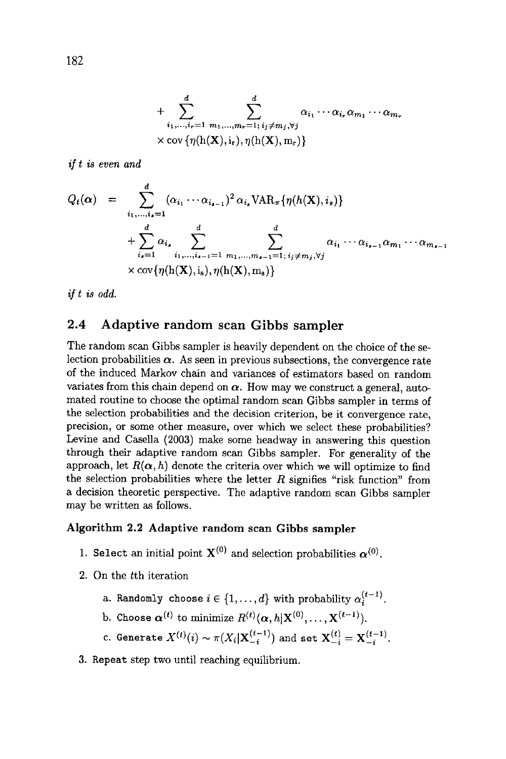+ 
$$
\sum_{i_1,\dots,i_r=1}^d \sum_{m_1,\dots,m_r=1;\ i_j\neq m_j,\forall j}^d \alpha_{i_1}\cdots\alpha_{i_r}\alpha_{m_1}\cdots\alpha_{m_r}
$$
  
× 
$$
cov{\eta(h(\mathbf{X}),i_r),\eta(h(\mathbf{X}),m_r)}
$$

*if t is even and* 

$$
Q_t(\boldsymbol{\alpha}) = \sum_{i_1,\ldots,i_s=1}^d (\alpha_{i_1} \cdots \alpha_{i_{s-1}})^2 \alpha_{i_s} \text{VAR}_{\pi} \{ \eta(h(\mathbf{X}), i_s) \}
$$
  
+ 
$$
\sum_{i_s=1}^d \alpha_{i_s} \sum_{i_1,\ldots,i_{s-1}=1}^d \sum_{m_1,\ldots,m_{s-1}=1; i_j \neq m_j, \forall j} \alpha_{i_1} \cdots \alpha_{i_{s-1}} \alpha_{m_1} \cdots \alpha_{m_{s-1}}
$$
  
×  $\text{cov} \{ \eta(h(\mathbf{X}), i_s), \eta(h(\mathbf{X}), m_s) \}$ 

*if t is odd.* 

## 2.4 Adaptive random scan Gibbs sampler

The random scan Gibbs sampler is heavily dependent on the choice of the selection probabilities  $\alpha$ . As seen in previous subsections, the convergence rate of the induced Markov chain and variances of estimators based on random variates from this chain depend on  $\alpha$ . How may we construct a general, automated routine to choose the optimal random scan Gibbs sampler in terms of the selection probabilities and the decision criterion, be it convergence rate, precision, or some other measure, over which we select these probabilities? Levine and Casella (2003) make some headway in answering this question through their adaptive random scan Gibbs sampler. For generality of the approach, let  $R(\alpha, h)$  denote the criteria over which we will optimize to find the selection probabilities where the letter  $R$  signifies "risk function" from a decision theoretic perspective. The adaptive random scan Gibbs sampler may be written as follows.

#### Algorithm 2.2 Adaptive random scan Gibbs sampler

- 1. Select an initial point  $X^{(0)}$  and selection probabilities  $\alpha^{(0)}$ .
- 2. On the tth iteration
	- a. Randomly choose  $i \in \{1, ..., d\}$  with probability  $\alpha_i^{(t-1)}$ .
	- b. Choose  $\alpha^{(t)}$  to minimize  $R^{(t)}(\alpha, h|\mathbf{X}^{(0)}, \dots, \mathbf{X}^{(t-1)}).$
	- c. Generate  $X^{(t)}(i) \sim \pi(X_i|\mathbf{X}_{-i}^{(t-1)})$  and set  $\mathbf{X}_{-i}^{(t)} = \mathbf{X}_{-i}^{(t-1)}$ .
- 3. Repeat step two until reaching equilibrium.

182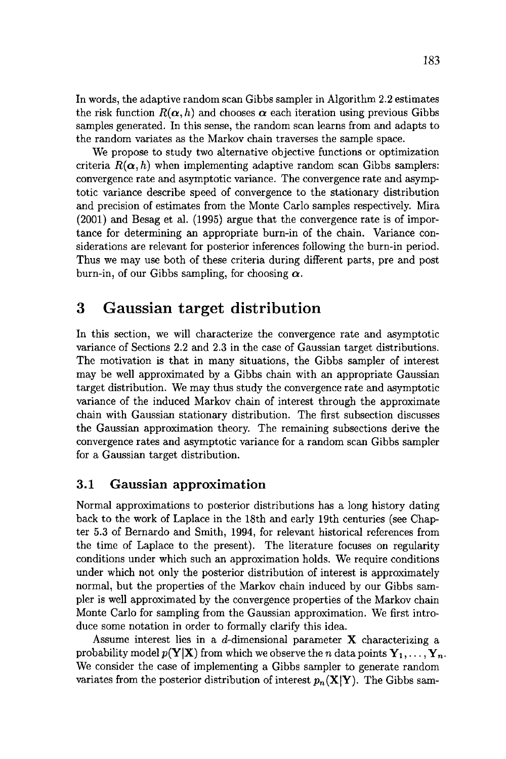In words, the adaptive random scan Gibbs sampler in Algorithm 2.2 estimates the risk function  $R(\alpha, h)$  and chooses  $\alpha$  each iteration using previous Gibbs samples generated. In this sense, the random scan learns from and adapts to the random variates as the Markov chain traverses the sample space.

We propose to study two alternative objective functions or optimization criteria  $R(\alpha, h)$  when implementing adaptive random scan Gibbs samplers: convergence rate and asymptotic variance. The convergence rate and asymptotic variance describe speed of convergence to the stationary distribution and precision of estimates from the Monte Carlo samples respectively. Mira (2001) and Besag et al. (1995) argue that the convergence rate is of importance for determining an appropriate burn-in of the chain. Variance considerations are relevant for posterior inferences following the burn-in period. Thus we may use both of these criteria during different parts, pre and post burn-in, of our Gibbs sampling, for choosing  $\alpha$ .

## **3 Gaussian target distribution**

In this section, we will characterize the convergence rate and asymptotic variance of Sections 2.2 and 2.3 in the case of Gaussian target distributions. The motivation is that in many situations, the Gibbs sampler of interest may be well approximated by a Gibbs chain with an appropriate Gaussian target distribution. We may thus study the convergence rate and asymptotic variance of the induced Markov chain of interest through the approximate chain with Gaussian stationary distribution. The first subsection discusses the Gaussian approximation theory. The remaining subsections derive the convergence rates and asymptotic variance for a random scan Gibbs sampler for a Gaussian target distribution.

## 3.1 Gaussian **approximation**

Normal approximations to posterior distributions has a long history dating back to the work of Laplace in the 18th and early 19th centuries (see Chapter 5.3 of Bernardo and Smith, 1994, for relevant historical references from the time of Laplace to the present). The literature focuses on regularity conditions under which such an approximation holds. We require conditions under which not only the posterior distribution of interest is approximately normal, but the properties of the Markov chain induced by our Gibbs sampler is well approximated by the convergence properties of the Markov chain Monte Carlo for sampling from the Gaussian approximation. We first introduce some notation in order to formally clarify this idea.

Assume interest lies in a d-dimensional parameter  $X$  characterizing a probability model  $p(Y|X)$  from which we observe the *n* data points  $Y_1, \ldots, Y_n$ . We consider the case of implementing a Gibbs sampler to generate random variates from the posterior distribution of interest  $p_n(\mathbf{X}|\mathbf{Y})$ . The Gibbs sam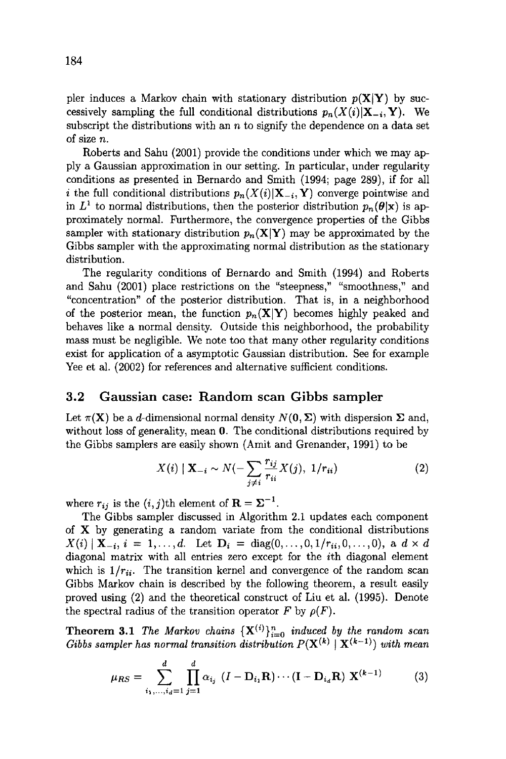pler induces a Markov chain with stationary distribution  $p(X|Y)$  by successively sampling the full conditional distributions  $p_n(X(i)|X_{-i}, Y)$ . We subscript the distributions with an  $n$  to signify the dependence on a data set of size n.

Roberts and Sahu (2001) provide the conditions under which we may apply a Gaussian approximation in our setting. In particular, under regularity conditions as presented in Bernardo and Smith (1994; page 289), if for all *i* the full conditional distributions  $p_n(X(i)|\mathbf{X}_{-i}, \mathbf{Y})$  converge pointwise and in  $L^1$  to normal distributions, then the posterior distribution  $p_n(\theta|\mathbf{x})$  is approximately normal. Furthermore, the convergence properties of the Gibbs sampler with stationary distribution  $p_n(\mathbf{X}|\mathbf{Y})$  may be approximated by the Gibbs sampler with the approximating normal distribution as the stationary distribution.

The regularity conditions of Bernardo and Smith (1994) and Roberts and Sahu (2001) place restrictions on the "steepness," "smoothness," and "concentration" of the posterior distribution. That is, in a neighborhood of the posterior mean, the function  $p_n(\mathbf{X}|\mathbf{Y})$  becomes highly peaked and behaves like a normal density. Outside this neighborhood, the probability mass must be negligible. We note too that many other regularity conditions exist for application of a asymptotic Gaussian distribution. See for example Yee et al. (2002) for references and alternative sufficient conditions.

#### 3.2 Gaussian case: Random scan Gibbs sampler

Let  $\pi(\mathbf{X})$  be a d-dimensional normal density  $N(\mathbf{0}, \Sigma)$  with dispersion  $\Sigma$  and, without loss of generality, mean 0. The conditional distributions required by the Gibbs samplers are easily shown (Amit and Grenander, 1991) to be

$$
X(i) | \mathbf{X}_{-i} \sim N(-\sum_{j \neq i} \frac{r_{ij}}{r_{ii}} X(j), \ 1/r_{ii})
$$
 (2)

where  $r_{ij}$  is the  $(i, j)$ th element of  $\mathbf{R} = \boldsymbol{\Sigma}^{-1}$ .

The Gibbs sampler discussed in Algorithm 2.1 updates each component of  $X$  by generating a random variate from the conditional distributions  $X(i) | X_{-i}, i = 1, ..., d.$  Let  $D_i = \text{diag}(0, ..., 0, 1/r_{ii}, 0, ..., 0),$  a  $d \times d$ diagonal matrix with all entries zero except for the ith diagonal element which is  $1/r_{ii}$ . The transition kernel and convergence of the random scan Gibbs Markov chain is described by the following theorem, a result easily proved using (2) and the theoretical construct of Liu et al. (1995). Denote the spectral radius of the transition operator F by  $\rho(F)$ .

**Theorem 3.1** *The Markov chains*  ${X^{(i)}}_{i=0}^n$  *induced by the random scan Gibbs sampler has normal transition distribution*  $P(X^{(k)} | X^{(k-1)})$  *with mean* 

$$
\mu_{RS} = \sum_{i_1, ..., i_d=1}^d \prod_{j=1}^d \alpha_{i_j} \ (I - D_{i_1}R) \cdots (I - D_{i_d}R) \ X^{(k-1)} \tag{3}
$$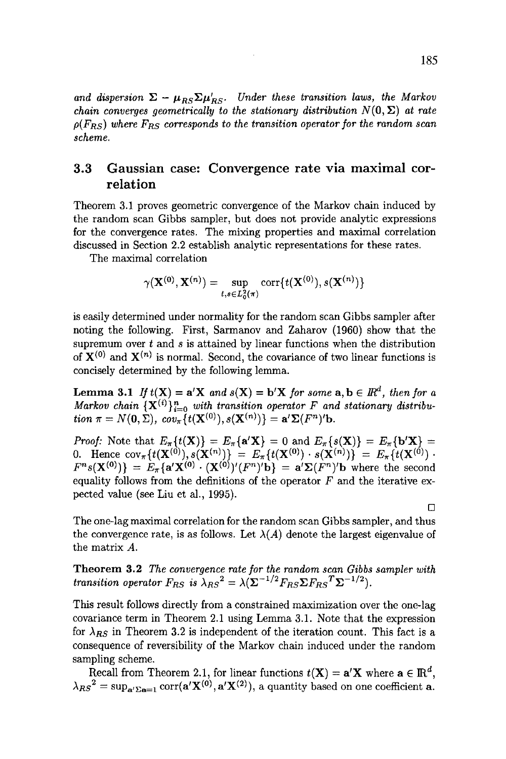and dispersion  $\Sigma - \mu_{RS} \Sigma \mu'_{RS}$ . Under these transition laws, the Markov *chain converges geometrically to the stationary distribution*  $N(0, \Sigma)$  at rate  $\rho(F_{RS})$  where  $F_{RS}$  corresponds to the transition operator for the random scan *scheme.* 

## 3.3 Gaussian case: Convergence rate via maximal correlation

Theorem 3.1 proves geometric convergence of the Markov chain induced by the random scan Gibbs sampler, but does not provide analytic expressions for the convergence rates. The mixing properties and maximal correlation discussed in Section 2.2 establish analytic representations for these rates.

The maximal correlation

$$
\gamma(\mathbf{X^{(0)}}, \mathbf{X^{(n)}}) = \sup_{t,s \in L^2_0(\pi)} \mathrm{corr}\{t(\mathbf{X^{(0)}}), s(\mathbf{X^{(n)}})\}
$$

is easily determined under normality for the random scan Gibbs sampler after noting the following. First, Sarmanov and Zaharov (1960) show that the supremum over  $t$  and  $s$  is attained by linear functions when the distribution of  $X^{(0)}$  and  $X^{(n)}$  is normal. Second, the covariance of two linear functions is concisely determined by the following lemma.

**Lemma 3.1** *If*  $t(X) = a'X$  *and*  $s(X) = b'X$  *for some*  $a, b \in \mathbb{R}^d$ *, then for a Markov chain*  ${ {\bf X}^{(i)} }_{i=0}^n$  *with transition operator*  $F$  *and stationary distribution*  $\pi = N(0, \Sigma)$ ,  $cov_{\pi} \{ t(\mathbf{X}^{(0)}), s(\mathbf{X}^{(n)}) \} = \mathbf{a}' \Sigma(F^n)^t \mathbf{b}$ .

*Proof:* Note that  $E_{\pi}\lbrace t(\mathbf{X}) \rbrace = E_{\pi}\lbrace a' \mathbf{X} \rbrace = 0$  and  $E_{\pi}\lbrace s(\mathbf{X}) \rbrace = E_{\pi}\lbrace b' \mathbf{X} \rbrace =$ 0. Hence  $cov_{\pi}\left\{t(\mathbf{X}^{(0)}), s(\mathbf{X}^{(n)})\right\} = E_{\pi}\left\{t(\mathbf{X}^{(0)}) \cdot s(\mathbf{X}^{(n)})\right\} = E_{\pi}\left\{t(\mathbf{X}^{(0)})\right\}$ .  $F^ns(\mathbf{X}^{(0)}) = E_\pi\{\mathbf{a}'\mathbf{X}^{(0)}\cdot(\mathbf{X}^{(0)})'(F^n)^{\prime}\mathbf{b}\} = \mathbf{a}'\mathbf{\Sigma}(F^n)^{\prime}\mathbf{b}$  where the second equality follows from the definitions of the operator  $F$  and the iterative expected value (see Liu et al., 1995).

The one-lag maximal correlation for the random scan Gibbs sampler, and thus the convergence rate, is as follows. Let  $\lambda(A)$  denote the largest eigenvalue of the matrix A.

**Theorem 3.2** The convergence rate for the random scan Gibbs sampler with *transition operator*  $F_{RS}$  is  $\lambda_{RS}^2 = \lambda (\Sigma^{-1/2}F_{RS}\Sigma F_{RS}^T\Sigma^{-1/2}).$ 

This result follows directly from a constrained maximization over the one-lag covariance term in Theorem 2.1 using Lemma 3.1. Note that the expression for  $\lambda_{RS}$  in Theorem 3.2 is independent of the iteration count. This fact is a consequence of reversibility of the Markov chain induced under the random sampling scheme.

Recall from Theorem 2.1, for linear functions  $t(X) = a'X$  where  $a \in \mathbb{R}^d$ ,  $\lambda_{RS}^2 = \sup_{\mathbf{a}' \Sigma \mathbf{a} = 1} \text{corr}(\mathbf{a}' \mathbf{X}^{(0)}, \mathbf{a}' \mathbf{X}^{(2)})$ , a quantity based on one coefficient **a**.

 $\Box$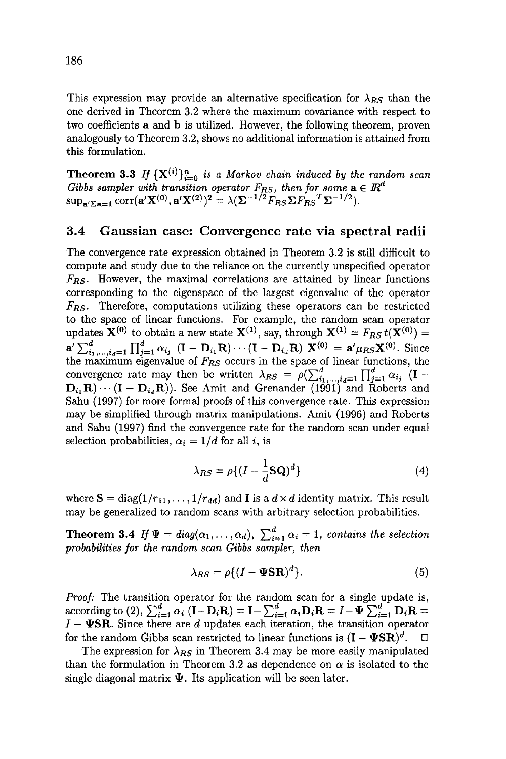This expression may provide an alternative specification for  $\lambda_{RS}$  than the one derived in Theorem 3.2 where the maximum covariance with respect to two coefficients a and b is utilized. However, the following theorem, proven analogously to Theorem 3.2, shows no additional information is attained from this formulation.

**Theorem 3.3** If  $\{X^{(i)}\}_{i=0}^n$  is a Markov chain induced by the random scan *Gibbs sampler with transition operator*  $F_{RS}$ *, then for some*  $\mathbf{a} \in \mathbb{R}^d$  $\sup_{\mathbf{a}'\Sigma \mathbf{a}=1} \text{corr}(\mathbf{a}'\mathbf{X}^{(0)}, \mathbf{a}'\mathbf{X}^{(2)})^2 = \lambda(\mathbf{\Sigma}^{-1/2}F_{RS}\mathbf{\Sigma}F_{RS}^T\mathbf{\Sigma}^{-1/2}).$ 

#### 3.4 Gaussian case: Convergence rate via spectral radii

The convergence rate expression obtained in Theorem 3.2 is still difficult to compute and study due to the reliance on the currently unspecified operator *Fns.* However, the maximal correlations are attained by linear functions corresponding to the eigenspace of the largest eigenvalue of the operator *Fns.* Therefore, computations utilizing these operators can be restricted to the space of linear functions. For example, the random scan operator updates  $\mathbf{X}^{(0)}$  to obtain a new state  $\mathbf{X}^{(1)}$ , say, through  $\mathbf{X}^{(1)} = F_{RS} t(\mathbf{X}^{(0)}) =$  $\mathbf{a}' \sum_{i_1,\dots,i_d=1}^d \prod_{i=1}^d \alpha_{i_i}$   $(\mathbf{I} - \mathbf{D}_{i_1} \mathbf{R}) \cdots (\mathbf{I} - \mathbf{D}_{i_d} \mathbf{R}) \mathbf{X}^{(0)} = \mathbf{a}' \mu_{RS} \mathbf{X}^{(0)}$ . Since the maximum eigenvalue of  $F_{RS}$  occurs in the space of linear functions, the convergence rate may then be written  $\lambda_{RS} = \rho(\sum_{i_1,\ldots,i_l=1}^d \prod_{i=1}^d \alpha_{i_l})$  (I –  $D_i, R) \cdots (I - D_{i,d}R)$ . See Amit and Grenander (1991) and Roberts and Sahu (1997) for more formal proofs of this convergence rate. This expression may be simplified through matrix manipulations. Amit (1996) and Roberts and Sahu (1997) find the convergence rate for the random scan under equal selection probabilities,  $\alpha_i = 1/d$  for all i, is

$$
\lambda_{RS} = \rho \{ (I - \frac{1}{d} \mathbf{S} \mathbf{Q})^d \}
$$
 (4)

where  $S = diag(1/r_{11}, \ldots, 1/r_{dd})$  and **I** is a  $d \times d$  identity matrix. This result may be generalized to random scans with arbitrary selection probabilities.

Theorem 3.4 *If*  $\Psi = diag(\alpha_1, ..., \alpha_d), \sum_{i=1}^d \alpha_i = 1$ , contains the selection *probabilities for the random scan Gibbs sampler, then* 

$$
\lambda_{RS} = \rho \{ (I - \Psi S \mathbf{R})^d \}.
$$
 (5)

*Proof:* The transition operator for the random scan for a single update is, according to (2),  $\sum_{i=1}^{d} \alpha_i$  (I-D<sub>i</sub>R) = I- $\sum_{i=1}^{d} \alpha_i \mathbf{D}_i \mathbf{R} = I - \Psi \sum_{i=1}^{d} \mathbf{D}_i \mathbf{R} =$  $I - \Psi$ SR. Since there are d updates each iteration, the transition operator for the random Gibbs scan restricted to linear functions is  $(I - \Psi SR)^d$ .  $\Box$ 

The expression for  $\lambda_{RS}$  in Theorem 3.4 may be more easily manipulated than the formulation in Theorem 3.2 as dependence on  $\alpha$  is isolated to the single diagonal matrix  $\Psi$ . Its application will be seen later.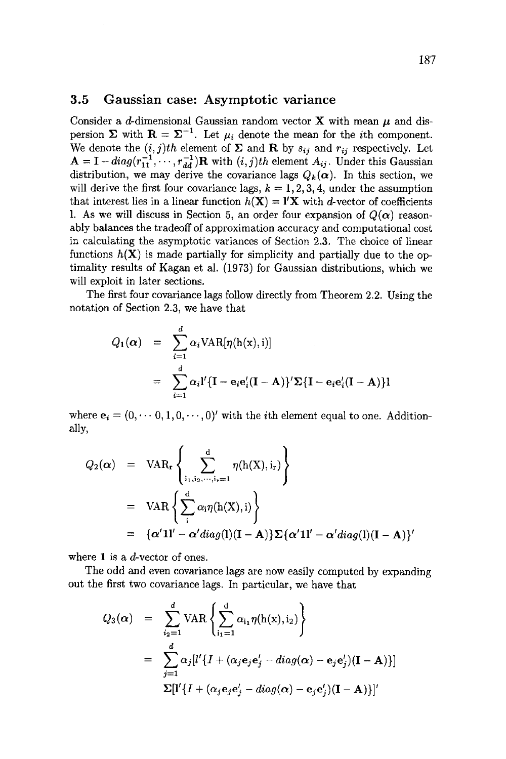#### 3.5 Gaussian case: Asymptotic variance

Consider a d-dimensional Gaussian random vector **X** with mean  $\mu$  and dispersion  $\Sigma$  with  $\mathbf{R} = \Sigma^{-1}$ . Let  $\mu_i$  denote the mean for the *i*th component. We denote the  $(i, j)$ th element of  $\Sigma$  and R by  $s_{ij}$  and  $r_{ij}$  respectively. Let  $A = I - diag(r_{11}^T, \dots, r_{dd}^T)R$  with  $(i, j)th$  element  $A_{ij}$ . Under this Gaussian distribution, we may derive the covariance lags  $Q_k(\alpha)$ . In this section, we will derive the first four covariance lags,  $k = 1, 2, 3, 4$ , under the assumption that interest lies in a linear function  $h(\mathbf{X}) = \mathbf{I}'\mathbf{X}$  with d-vector of coefficients 1. As we will discuss in Section 5, an order four expansion of  $Q(\alpha)$  reasonably balances the tradeoff of approximation accuracy and computational cost in calculating the asymptotic variances of Section 2.3. The choice of linear functions  $h(X)$  is made partially for simplicity and partially due to the optimality results of Kagan et al. (1973) for Gaussian distributions, which we will exploit in later sections.

The first four covariance lags follow directly from Theorem 2.2. Using the notation of Section 2.3, we have that

$$
Q_1(\alpha) = \sum_{i=1}^d \alpha_i \text{VAR}[\eta(\mathbf{h}(\mathbf{x}), \mathbf{i})]
$$
  
= 
$$
\sum_{i=1}^d \alpha_i \mathbf{l}' \{ \mathbf{I} - \mathbf{e}_i \mathbf{e}'_i (\mathbf{I} - \mathbf{A}) \} \mathbf{Z} \{ \mathbf{I} - \mathbf{e}_i \mathbf{e}'_i (\mathbf{I} - \mathbf{A}) \} \mathbf{l}
$$

where  $e_i = (0, \dots, 0, 1, 0, \dots, 0)'$  with the *i*th element equal to one. Additionally,

$$
Q_2(\alpha) = \text{VAR}_{r} \left\{ \sum_{i_1, i_2, \dots, i_r=1}^{d} \eta(h(X), i_r) \right\}
$$
  
= 
$$
\text{VAR} \left\{ \sum_{i}^{d} \alpha_i \eta(h(X), i) \right\}
$$
  
= 
$$
\{\alpha'11' - \alpha' diag(1)(I - A)\} \Sigma \{\alpha'11' - \alpha' diag(1)(I - A)\}'
$$

where 1 is a  $d$ -vector of ones.

The odd and even covariance lags are now easily computed by expanding out the first two covariance lags. In particular, we have that

$$
Q_3(\alpha) = \sum_{i_2=1}^d \text{VAR} \left\{ \sum_{i_1=1}^d \alpha_{i_1} \eta(h(x), i_2) \right\}
$$
  
= 
$$
\sum_{j=1}^d \alpha_j [l' \{ I + (\alpha_j e_j e'_j - diag(\alpha) - e_j e'_j)(I - A) \}]
$$
  

$$
\Sigma[l' \{ I + (\alpha_j e_j e'_j - diag(\alpha) - e_j e'_j)(I - A) \}]'
$$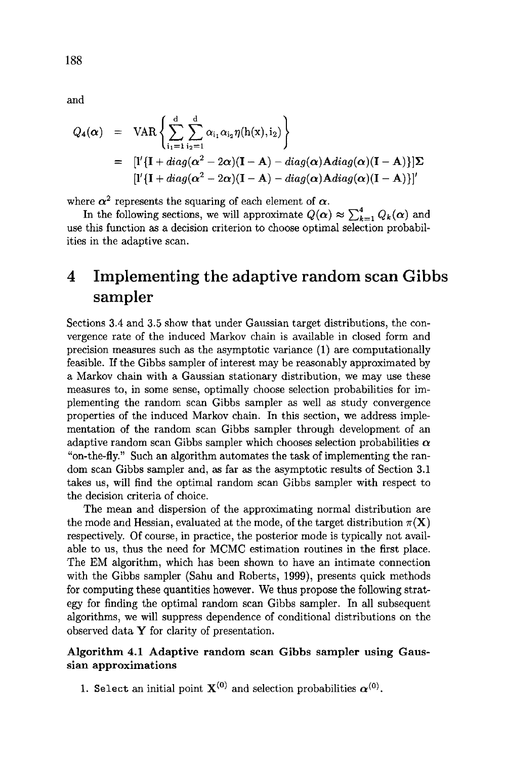$$
Q_4(\alpha) = \text{VAR} \left\{ \sum_{i_1=1}^d \sum_{i_2=1}^d \alpha_{i_1} \alpha_{i_2} \eta(h(x), i_2) \right\}
$$
  
= 
$$
[I'\{\mathbf{I} + diag(\alpha^2 - 2\alpha)(\mathbf{I} - \mathbf{A}) - diag(\alpha)\mathbf{A} diag(\alpha)(\mathbf{I} - \mathbf{A})\}] \Sigma
$$
  

$$
[I'\{\mathbf{I} + diag(\alpha^2 - 2\alpha)(\mathbf{I} - \mathbf{A}) - diag(\alpha)\mathbf{A} diag(\alpha)(\mathbf{I} - \mathbf{A})\}]'
$$

where  $\alpha^2$  represents the squaring of each element of  $\alpha$ .

In the following sections, we will approximate  $Q(\alpha) \approx \sum_{k=1}^{4} Q_k(\alpha)$  and use this function as a decision criterion to choose optimal selection probabilities in the adaptive scan.

# **4 Implementing the adaptive random scan Gibbs sampler**

Sections 3.4 and 3.5 show that under Gaussian target distributions, the convergence rate of the induced Markov chain is available in closed form and precision measures such as the asymptotic variance (1) are computationally feasible. If the Gibbs sampler of interest may be reasonably approximated by a Markov chain with a Ganssian stationary distribution, we may use these measures to, in some sense, optimally choose selection probabilities for implementing the random scan Gibbs sampler as well as study convergence properties of the induced Markov chain. In this section, we address implementation of the random scan Gibbs sampler through development of an adaptive random scan Gibbs sampler which chooses selection probabilities  $\alpha$ "on-the-fly." Such an algorithm automates the task of implementing the random scan Gibbs sampler and, as far as the asymptotic results of Section 3.1 takes us, will find the optimal random scan Gibbs sampler with respect to the decision criteria of choice.

The mean and dispersion of the approximating normal distribution are the mode and Hessian, evaluated at the mode, of the target distribution  $\pi(\mathbf{X})$ respectively. Of course, in practice, the posterior mode is typically not available to us, thus the need for MCMC estimation routines in the first place. The EM algorithm, which has been shown to have an intimate connection with the Gibbs sampler (Sahu and Roberts, 1999), presents quick methods for computing these quantities however. We thus propose the following strategy for finding the optimal random scan Gibbs sampler. In all subsequent algorithms, we will suppress dependence of conditional distributions on the observed data Y for clarity of presentation.

### Algorithm 4.1 Adaptive random scan Gibbs sampler using **Gaussian approximations**

1. Select an initial point  $\mathbf{X}^{(0)}$  and selection probabilities  $\alpha^{(0)}$ .

188

and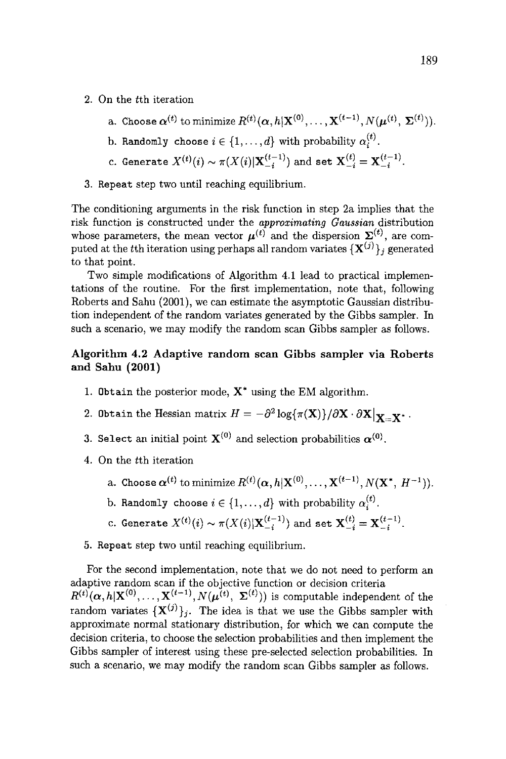- 2. On the tth iteration
	- a. Choose  $\alpha^{(t)}$  to minimize  $R^{(t)}(\alpha, h|\mathbf{X}^{(0)}, \dots, \mathbf{X}^{(t-1)}, N(\boldsymbol{\mu}^{(t)}, \boldsymbol{\Sigma}^{(t)})).$ b. Randomly choose  $i \in \{1,\ldots,d\}$  with probability  $\alpha_i^{(t)}$ .
	- c. Generate  $X^{(t)}(i) \sim \pi(X(i)|\mathbf{X}_{-i}^{(t-1)})$  and set  $\mathbf{X}_{-i}^{(t)} = \mathbf{X}_{-i}^{(t-1)}$ .
- 3. Repeat step two until reaching equilibrium.

The conditioning arguments in the risk function in step 2a implies that the risk function is constructed under the *approximating Gaussian* distribution whose parameters, the mean vector  $\mu^{(t)}$  and the dispersion  $\Sigma^{(t)}$ , are computed at the tth iteration using perhaps all random variates  ${ {\bf X}^{(j)} }_j$  generated to that point.

Two simple modifications of Algorithm 4.1 lead to practical implementations of the routine. For the first implementation, note that, following Roberts and Sahu (2001), we can estimate the asymptotic Gaussian distribution independent of the random variates generated by the Gibbs sampler. In such a scenario, we may modify the random scan Gibbs sampler as follows.

#### Algorithm 4.2 Adaptive random scan Gibbs sampler via Roberts **and Sahu (2001)**

- 1. Obtain the posterior mode,  $X^*$  using the EM algorithm.
- 2. Obtain the Hessian matrix  $H = -\partial^2 \log{\pi(\mathbf{X})}/\partial \mathbf{X} \cdot \partial \mathbf{X}|_{\mathbf{Y} = \mathbf{Y}^*}.$
- 3. Select an initial point  $X^{(0)}$  and selection probabilities  $\alpha^{(0)}$ .
- 4. On the tth iteration
	- a. Choose  $\alpha^{(t)}$  to minimize  $R^{(t)}(\alpha, h|\mathbf{X}^{(0)}, \dots, \mathbf{X}^{(t-1)}, N(\mathbf{X}^*, H^{-1})).$
	- b. Randomly choose  $i \in \{1, ..., d\}$  with probability  $\alpha_i^{(t)}$ .
	- c. Generate  $X^{(t)}(i) \sim \pi(X(i)|\mathbf{X}_{-i}^{(t-1)})$  and set  $\mathbf{X}_{-i}^{(t)} = \mathbf{X}_{-i}^{(t-1)}$ .
- 5. Repeat step two until reaching equilibrium.

For the second implementation, note that we do not need to perform an adaptive random scan if the objective function or decision criteria  $R^{(t)}(\alpha, h|X^{(0)}, \ldots, X^{(t-1)}, N(\mu^{(t)}, \Sigma^{(t)}))$  is computable independent of the random variates  $\{X^{(j)}\}_j$ . The idea is that we use the Gibbs sampler with approximate normal stationary distribution, for which we can compute the decision criteria, to choose the selection probabilities and then implement the Gibbs sampler of interest using these pre-selected selection probabilities. In such a scenario, we may modify the random scan Gibbs sampler as follows.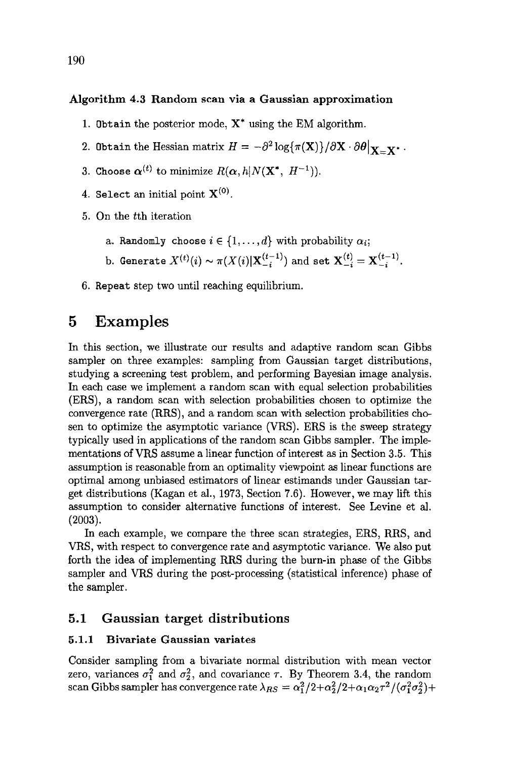#### **Algorithm** 4.3 Random scan via a **Gaussian approximation**

- 1. Obtain the posterior mode,  $X^*$  using the EM algorithm.
- 2. 0btain the Hessian matrix  $H = -\partial^2 \log{\{\pi(\mathbf{X})\}}/\partial \mathbf{X} \cdot \partial \theta|_{\mathbf{X} = \mathbf{X}^*}.$
- 3. Choose  $\alpha^{(t)}$  to minimize  $R(\alpha, h|N(\mathbf{X}^*, H^{-1})).$
- 4. Select an initial point  $X^{(0)}$ .
- 5. On the tth iteration
	- a. Randomly choose  $i \in \{1, ..., d\}$  with probability  $\alpha_i$ ;
	- b. Generate  $X^{(t)}(i) \sim \pi(X(i)|\mathbf{X}_{-i}^{(t-1)})$  and set  $\mathbf{X}_{-i}^{(t)} = \mathbf{X}_{-i}^{(t-1)}$ .
- 6. Repeat step two until reaching equilibrium.

## **5 Examples**

In this section, we illustrate our results and adaptive random scan Gibbs sampler on three examples: sampling from Gaussian target distributions, studying a screening test problem, and performing Bayesian image analysis. In each case we implement a random scan with equal selection probabilities (ERS), a random scan with selection probabilities chosen to optimize the convergence rate (RRS), and a random scan with selection probabilities chosen to optimize the asymptotic variance (VRS). ERS is the sweep strategy typically used in applications of the random scan Gibbs sampler. The implementations of VRS assume a linear function of interest as in Section 3.5. This assumption is reasonable from an optimality viewpoint as linear functions are optimal among unbiased estimators of linear estimands under Gaussian target distributions (Kagan et al., 1973, Section 7.6). However, we may lift this assumption to consider alternative functions of interest. See Levine et al. (2003).

In each example, we compare the three scan strategies, ERS, RRS, and VRS, with respect to convergence rate and asymptotic variance. We also put forth the idea of implementing RRS during the burn-in phase of the Gibbs sampler and VRS during the post-processing (statistical inference) phase of the sampler.

### 5.1 Gaussian target **distributions**

#### **5.1.1 Bivariate Gaussian variates**

Consider sampling from a bivariate normal distribution with mean vector zero, variances  $\sigma_1^2$  and  $\sigma_2^2$ , and covariance  $\tau$ . By Theorem 3.4, the random scan Gibbs sampler has convergence rate  $\lambda_{RS} = \alpha_1^2/2+\alpha_2^2/2+\alpha_1\alpha_2\tau^2/(\sigma_1^2\sigma_2^2)+$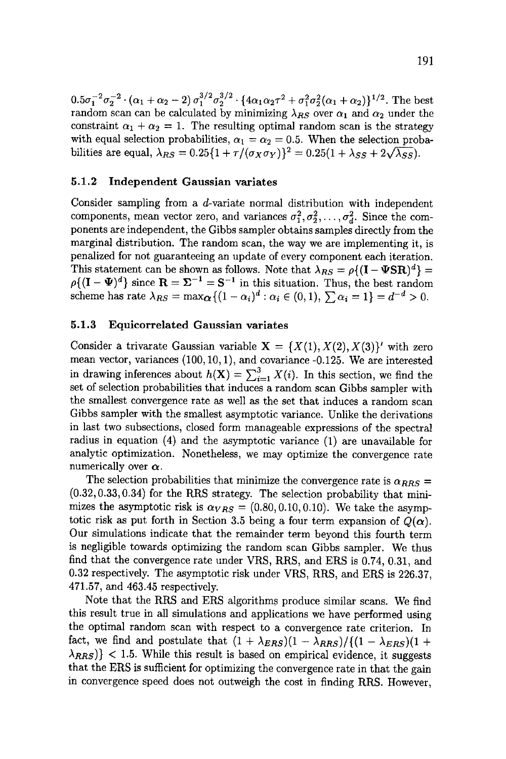$0.5\sigma_1^{-2}\sigma_2^{-2}\cdot(\alpha_1+\alpha_2-2)\sigma_1^{3/2}\sigma_2^{3/2}\cdot\{4\alpha_1\alpha_2\tau^2+\sigma_1^2\sigma_2^2(\alpha_1+\alpha_2)\}^{1/2}$ . The best random scan can be calculated by minimizing  $\lambda_{RS}$  over  $\alpha_1$  and  $\alpha_2$  under the constraint  $\alpha_1 + \alpha_2 = 1$ . The resulting optimal random scan is the strategy with equal selection probabilities,  $\alpha_1 = \alpha_2 = 0.5$ . When the selection probabilities are equal,  $\lambda_{RS} = 0.25\{1 + \tau/(\sigma_X \sigma_Y)\}^2 = 0.25(1 + \lambda_{SS} + 2\sqrt{\lambda_{SS}}).$ 

#### **5.1.2 Independent Gaussian variates**

Consider sampling from a d-variate normal distribution with independent components, mean vector zero, and variances  $\sigma_1^2, \sigma_2^2, \ldots, \sigma_d^2$ . Since the components are independent, the Gibbs sampler obtains samples directly from the marginal distribution. The random scan, the way we are implementing it, is penalized for not guaranteeing an update of every component each iteration. This statement can be shown as follows. Note that  $\lambda_{RS} = \rho \{ (\mathbf{I} - \mathbf{\Psi} \mathbf{S} \mathbf{R})^d \} =$  $\rho\{(\mathbf{I}-\mathbf{\Psi})^a\}$  since  $\mathbf{R}=\mathbf{\Sigma}^{-1}=\mathbf{S}^{-1}$  in this situation. Thus, the best random scheme has rate  $\lambda_{RS} = \max_{\mathbf{\alpha}} \{ (1 - \alpha_i)^a : \alpha_i \in (0, 1), \sum_{i} \alpha_i = 1 \} = d^{-d} > 0.$ 

#### **5.1.3 Equicorrelated Gaussian variates**

Consider a trivarate Gaussian variable  $X = \{X(1), X(2), X(3)\}$  with zero mean vector, variances (100,10,1), and covariance -0.125. We are interested in drawing inferences about  $h(X) = \sum_{i=1}^{3} X(i)$ . In this section, we find the set of selection probabilities that induces a random scan Gibbs sampler with the smallest convergence rate as well as the set that induces a random scan Gibbs sampler with the smallest asymptotic variance. Unlike the derivations in last two subsections, closed form manageable expressions of the spectral radius in equation (4) and the asymptotic variance (1) are unavailable for analytic optimization. Nonetheless, we may optimize the convergence rate numerically over  $\alpha$ .

The selection probabilities that minimize the convergence rate is  $\alpha_{RRS} =$ (0.32, 0.33, 0.34) for the RRS strategy. The selection probability that minimizes the asymptotic risk is  $\alpha_{VRS} = (0.80, 0.10, 0.10)$ . We take the asymptotic risk as put forth in Section 3.5 being a four term expansion of  $Q(\boldsymbol{\alpha})$ . Our simulations indicate that the remainder term beyond this fourth term is negligible towards optimizing the random scan Gibbs sampler. We thus find that the convergence rate under VRS, RRS, and ERS is 0.74, 0.31, and 0.32 respectively. The asymptotic risk under VRS, RRS, and ERS is 226.37, 471.57, and 463.45 respectively.

Note that the RRS and ERS algorithms produce similar scans. We find this result true in all simulations and applications we have performed using the optimal random scan with respect to a convergence rate criterion. In fact, we find and postulate that  $(1 + \lambda_{ERS})(1 - \lambda_{RRS})/((1 - \lambda_{ERS})(1 +$  $\{\lambda_{RRS}\}\}< 1.5$ . While this result is based on empirical evidence, it suggests that the ERS is sufficient for optimizing the convergence rate in that the gain in convergence speed does not outweigh the cost in finding RRS. However,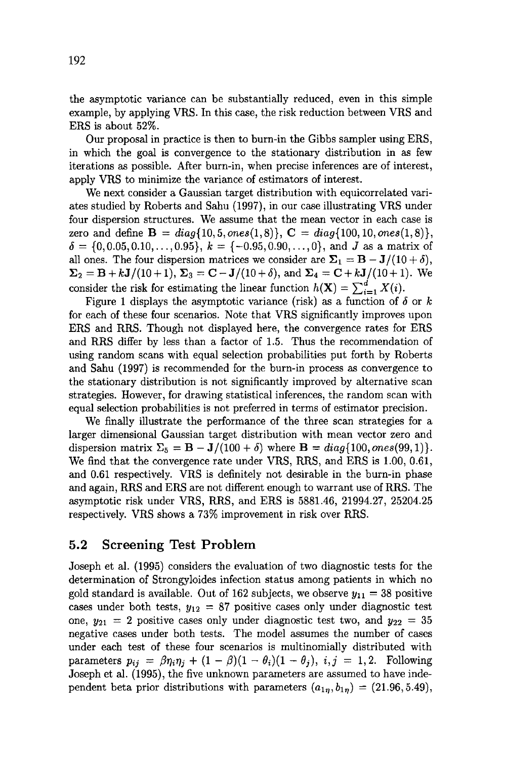the asymptotic variance can be substantially reduced, even in this simple example, by applying VRS. In this case, the risk reduction between VRS and ERS is about 52%.

Our proposal in practice is then to burn-in the Gibbs sampler using ERS, in which the goal is convergence to the stationary distribution in as few iterations as possible. After burn-in, when precise inferences are of interest, apply VRS to minimize the variance of estimators of interest.

We next consider a Gaussian target distribution with equicorrelated variates studied by Roberts and Sahu (1997), in our case illustrating VRS under four dispersion structures. We assume that the mean vector in each case is zero and define  $B = diag\{10, 5, ones(1, 8)\}, C = diag\{100, 10, ones(1, 8)\},$  $\delta = \{0, 0.05, 0.10, \ldots, 0.95\}, k = \{-0.95, 0.90, \ldots, 0\}, \text{ and } J \text{ as a matrix of }$ all ones. The four dispersion matrices we consider are  $\Sigma_1 = \mathbf{B} - \mathbf{J}/(10 + \delta)$ ,  $\Sigma_2 = B + kJ/(10+1)$ ,  $\Sigma_3 = C - J/(10+\delta)$ , and  $\Sigma_4 = C + kJ/(10+1)$ . We consider the risk for estimating the linear function  $h(\mathbf{X}) = \sum_{i=1}^{d} X(i)$ .

Figure 1 displays the asymptotic variance (risk) as a function of  $\delta$  or k for each of these four scenarios. Note that VRS significantly improves upon ERS and RRS. Though not displayed here, the convergence rates for ERS and RRS differ by less than a factor of 1.5. Thus the recommendation of using random scans with equal selection probabilities put forth by Roberts and Sahu (1997) is recommended for the burn-in process as convergence to the stationary distribution is not significantly improved by alternative scan strategies. However, for drawing statistical inferences, the random scan with equal selection probabilities is not preferred in terms of estimator precision.

We finally illustrate the performance of the three scan strategies for a larger dimensional Gaussian target distribution with mean vector zero and dispersion matrix  $\Sigma_5 = \mathbf{B} - \mathbf{J}/(100 + \delta)$  where  $\mathbf{B} = diag\{100, ones(99, 1)\}.$ We find that the convergence rate under VRS, RRS, and ERS is 1.00, 0.61, and 0.61 respectively. VRS is definitely not desirable in the burn-in phase and again, RRS and ERS are not different enough to warrant use of RRS. The asymptotic risk under VRS, RRS, and ERS is 5881.46, 21994.27, 25204.25 respectively. VRS shows a 73% improvement in risk over RRS.

## **5.2 Screening Test Problem**

Joseph et al. (1995) considers the evaluation of two diagnostic tests for the determination of Strongyloides infection status among patients in which no gold standard is available. Out of 162 subjects, we observe  $y_{11} = 38$  positive cases under both tests,  $y_{12} = 87$  positive cases only under diagnostic test one,  $y_{21} = 2$  positive cases only under diagnostic test two, and  $y_{22} = 35$ negative cases under both tests. The model assumes the number of cases under each test of these four scenarios is multinomially distributed with parameters  $p_{ij} = \beta \eta_i \eta_j + (1 - \beta)(1 - \theta_i)(1 - \theta_j), i, j = 1, 2$ . Following Joseph et al. (1995), the five unknown parameters are assumed to have independent beta prior distributions with parameters  $(a_{1\eta}, b_{1\eta}) = (21.96, 5.49),$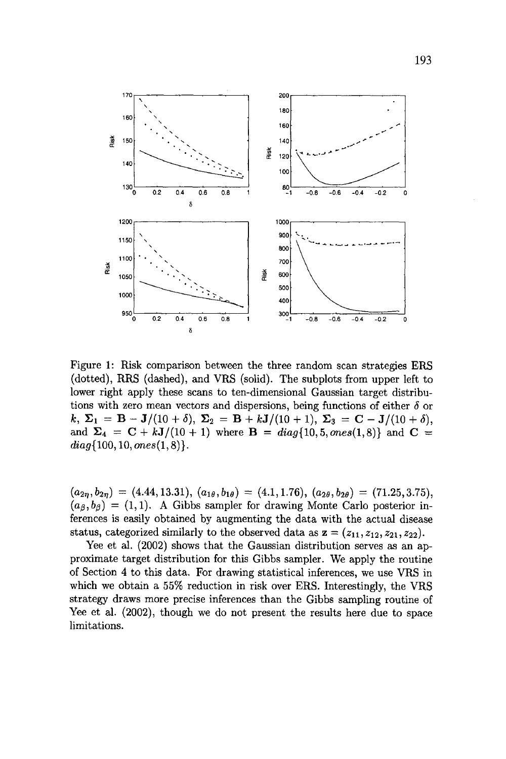

**Figure l: Risk comparison between the three random scan strategies ERS**  (dotted), RRS (dashed), and VRS (solid). The subplots from upper left to lower right apply these scans to ten-dimensional Gaussian target distributions with zero mean vectors and dispersions, being functions of either  $\delta$  or  $k, \Sigma_1 = B - J/(10 + \delta), \Sigma_2 = B + kJ/(10 + 1), \Sigma_3 = C - J/(10 + \delta),$ and  $\Sigma_4 = C + kJ/(10+1)$  where  $B = diag\{10, 5, ones(1,8)\}$  and  $C =$  $diag\{100, 10, ones(1, 8)\}.$ 

 $(a_{2\eta}, b_{2\eta}) = (4.44, 13.31), (a_{1\theta}, b_{1\theta}) = (4.1, 1.76), (a_{2\theta}, b_{2\theta}) = (71.25, 3.75),$  $(a_{\beta}, b_{\beta}) = (1, 1)$ . A Gibbs sampler for drawing Monte Carlo posterior in**ferences is easily obtained by augmenting the data with the actual disease**  status, categorized similarly to the observed data as  $z = (z_{11}, z_{12}, z_{21}, z_{22})$ .

**Yee et al. (2002) shows that the Gaussian distribution serves as an approximate target distribution for this Gibbs sampler. We apply the routine**  of Section 4 to this data. For drawing statistical inferences, we use VRS in **which we obtain a 55% reduction in risk over ERS. Interestingly, the VRS strategy draws more precise inferences than the Gibbs sampling routine of Yee et al. (2002), though we do not present the results here due to space**  limitations.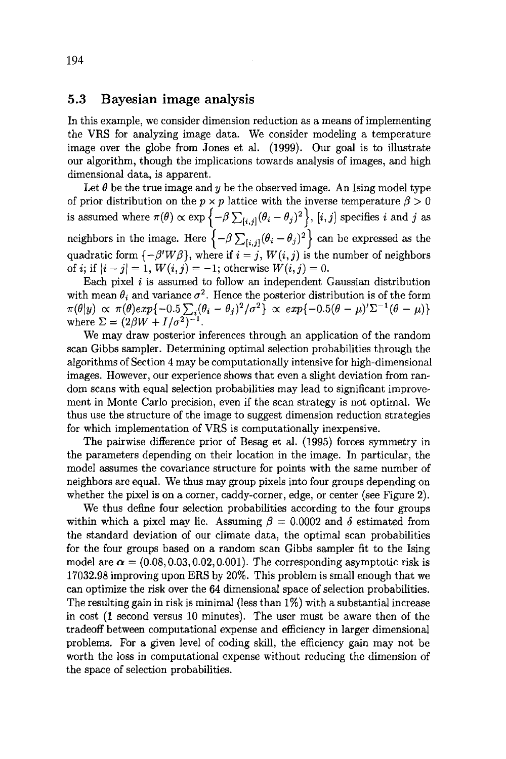### 5.3 Bayesian image analysis

In this example, we consider dimension reduction as a means of implementing the VRS for analyzing image data. We consider modeling a temperature image over the globe from Jones et al. (1999). Our goal is to illustrate our algorithm, though the implications towards analysis of images, and high dimensional data, is apparent.

Let  $\theta$  be the true image and y be the observed image. An Ising model type of prior distribution on the  $p \times p$  lattice with the inverse temperature  $\beta > 0$ is assumed where  $\pi(\theta) \propto \exp \{-\beta \sum_{[i,j]} (\theta_i - \theta_j)^2\}, [i, j]$  specifies i and j as neighbors in the image. Here  $\left\{-\beta \sum_{[i,j]} (\theta_i - \theta_j)^2\right\}$  can be expressed as the quadratic form  $\{-\beta'W\beta\}$ , where if  $i=j$ ,  $W(i, j)$  is the number of neighbors of *i*; if  $|i - j| = 1$ ,  $W(i, j) = -1$ ; otherwise  $W(i, j) = 0$ .

Each pixel  $i$  is assumed to follow an independent Gaussian distribution with mean  $\theta_i$  and variance  $\sigma^2$ . Hence the posterior distribution is of the form  $\pi(\theta|y) \propto \pi(\theta) exp\{-0.5 \sum_i (\theta_i - \theta_j)^2/\sigma^2\} \propto exp\{-0.5(\theta - \mu)^2\sum^{-1}(\theta - \mu)\}$ where  $\Sigma = (2\beta W + I/\sigma^2)^{-1}$ .

We may draw posterior inferences through an application of the random scan Gibbs sampler. Determining optimal selection probabilities through the algorithms of Section 4 may be computationally intensive for high-dimensional images. However, our experience shows that even a slight deviation from random scans with equal selection probabilities may lead to significant improvement in Monte Carlo precision, even if the scan strategy is not optimal. We thus use the structure of the image to suggest dimension reduction strategies for which implementation of VRS is computationally inexpensive.

The pairwise difference prior of Besag et al. (1995) forces symmetry in the parameters depending on their location in the image. In particular, the model assumes the covariance structure for points with the same number of neighbors are equal. We thus may group pixels into four groups depending on whether the pixel is on a corner, caddy-corner, edge, or center (see Figure 2).

We thus define four selection probabilities according to the four groups within which a pixel may lie. Assuming  $\beta = 0.0002$  and  $\delta$  estimated from the standard deviation of our climate data, the optimal scan probabilities for the four groups based on a random scan Gibbs sampler fit to the Ising model are  $\alpha = (0.08, 0.03, 0.02, 0.001)$ . The corresponding asymptotic risk is 17032.98 improving upon ERS by 20%. This problem is small enough that we can optimize the risk over the 64 dimensional space of selection probabilities. The resulting gain in risk is minimal (less than 1%) with a substantial increase in cost (1 second versus 10 minutes). The user must be aware then of the tradeoff between computational expense and efficiency in larger dimensional problems. For a given level of coding skill, the efficiency gain may not be worth the loss in computational expense without reducing the dimension of the space of selection probabilities.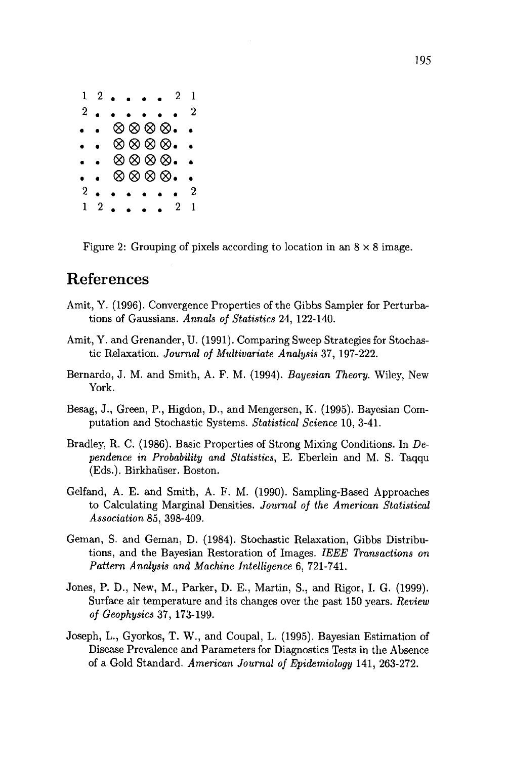$1\,2\ldots\,1\,2$  $2\textcolor{white}{0}$  . . . . . . ..|174174174 888.  $\otimes \otimes \otimes \otimes$ .  $\ddot{\phantom{0}}$  $\otimes\otimes\otimes\otimes$  $2$  . . . . . . 2  $1\,$  2. . . . 2

Figure 2: Grouping of pixels according to location in an  $8 \times 8$  image.

# **References**

- Amit, Y. (1996). Convergence Properties of the Gibbs Sampler for Perturbations of Gaussians. *Annals of Statistics* 24, 122-140.
- Amit, Y. and Grenander, U. (1991). Comparing Sweep Strategies for Stochastic Relaxation. *Journal of Multivariate Analysis* 37, 197-222.
- Bernardo, J. M. and Smith, A. F. M. (1994). *Bayesian Theory.* Wiley, New York.
- Besag, J., Green, P., Higdon, D., and Mengersen, K. (1995). Bayesian Computation and Stochastic Systems. *Statistical Science* 10, 3-41.
- Bradley, R. C. (1986). Basic Properties of Strong Mixing Conditions. In *Dependence in Probability and Statistics,* E. Eberlein and M. S. Taqqu (Eds.). Birkhaüser. Boston.
- Gelfand, A. E. and Smith, A. F. M. (1990). Sampling-Based Approaches to Calculating Marginal Densities. *Journal of the American Statistical Association* 85, 398-409.
- Geman, S. and Geman, D. (1984). Stochastic Relaxation, Gibbs Distributions, and the Bayesian Restoration of Images. *IEEE Transactions on Pattern Analysis and Machine Intelligence* 6, 721-741.
- Jones, P. D., New, M., Parker, D. E., Martin, S., and Rigor, I. G. (1999). Surface air temperature and its changes over the past 150 years. *Review of Geophysics* 37, 173-199.
- Joseph, L., Gyorkos, T. W., and Coupal, L. (1995). Bayesian Estimation of Disease Prevalence and Parameters for Diagnostics Tests in the Absence of a Gold Standard. *American Journal of Epidemiology* 141,263-272.